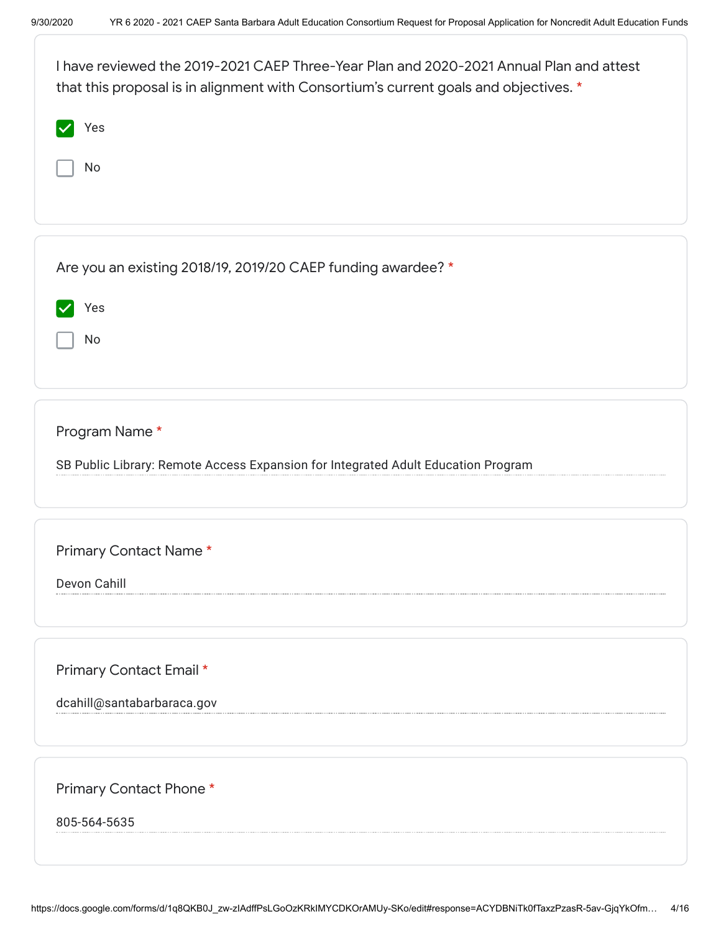| I have reviewed the 2019-2021 CAEP Three-Year Plan and 2020-2021 Annual Plan and attest<br>that this proposal is in alignment with Consortium's current goals and objectives. * |  |  |
|---------------------------------------------------------------------------------------------------------------------------------------------------------------------------------|--|--|
| Yes                                                                                                                                                                             |  |  |
| No                                                                                                                                                                              |  |  |
|                                                                                                                                                                                 |  |  |
| Are you an existing 2018/19, 2019/20 CAEP funding awardee? *                                                                                                                    |  |  |
| Yes                                                                                                                                                                             |  |  |
| No                                                                                                                                                                              |  |  |
|                                                                                                                                                                                 |  |  |
| Program Name*                                                                                                                                                                   |  |  |
| SB Public Library: Remote Access Expansion for Integrated Adult Education Program                                                                                               |  |  |
|                                                                                                                                                                                 |  |  |
| Primary Contact Name*                                                                                                                                                           |  |  |
| Devon Cahill                                                                                                                                                                    |  |  |
|                                                                                                                                                                                 |  |  |
| Primary Contact Email *                                                                                                                                                         |  |  |
| dcahill@santabarbaraca.gov                                                                                                                                                      |  |  |
|                                                                                                                                                                                 |  |  |
| Primary Contact Phone*                                                                                                                                                          |  |  |
| 805-564-5635                                                                                                                                                                    |  |  |
|                                                                                                                                                                                 |  |  |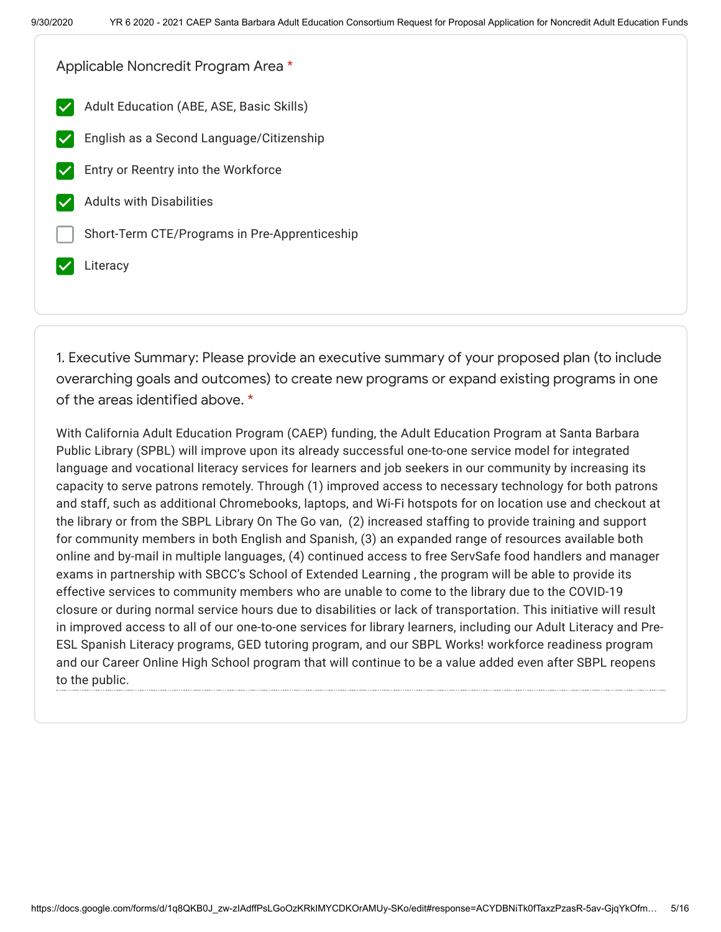Applicable Noncredit Program Area \*

- Adult Education (ABE, ASE, Basic Skills)
- English as a Second Language/Citizenship
- Entry or Reentry into the Workforce
- Adults with Disabilities
- Short-Term CTE/Programs in Pre-Apprenticeship
- Literacy

1. Executive Summary: Please provide an executive summary of your proposed plan (to include overarching goals and outcomes) to create new programs or expand existing programs in one of the areas identified above. \*

With California Adult Education Program (CAEP) funding, the Adult Education Program at Santa Barbara Public Library (SPBL) will improve upon its already successful one-to-one service model for integrated language and vocational literacy services for learners and job seekers in our community by increasing its capacity to serve patrons remotely. Through (1) improved access to necessary technology for both patrons and staff, such as additional Chromebooks, laptops, and Wi-Fi hotspots for on location use and checkout at the library or from the SBPL Library On The Go van, (2) increased staffing to provide training and support for community members in both English and Spanish, (3) an expanded range of resources available both online and by-mail in multiple languages, (4) continued access to free ServSafe food handlers and manager exams in partnership with SBCC's School of Extended Learning , the program will be able to provide its effective services to community members who are unable to come to the library due to the COVID-19 closure or during normal service hours due to disabilities or lack of transportation. This initiative will result in improved access to all of our one-to-one services for library learners, including our Adult Literacy and Pre-ESL Spanish Literacy programs, GED tutoring program, and our SBPL Works! workforce readiness program and our Career Online High School program that will continue to be a value added even after SBPL reopens to the public.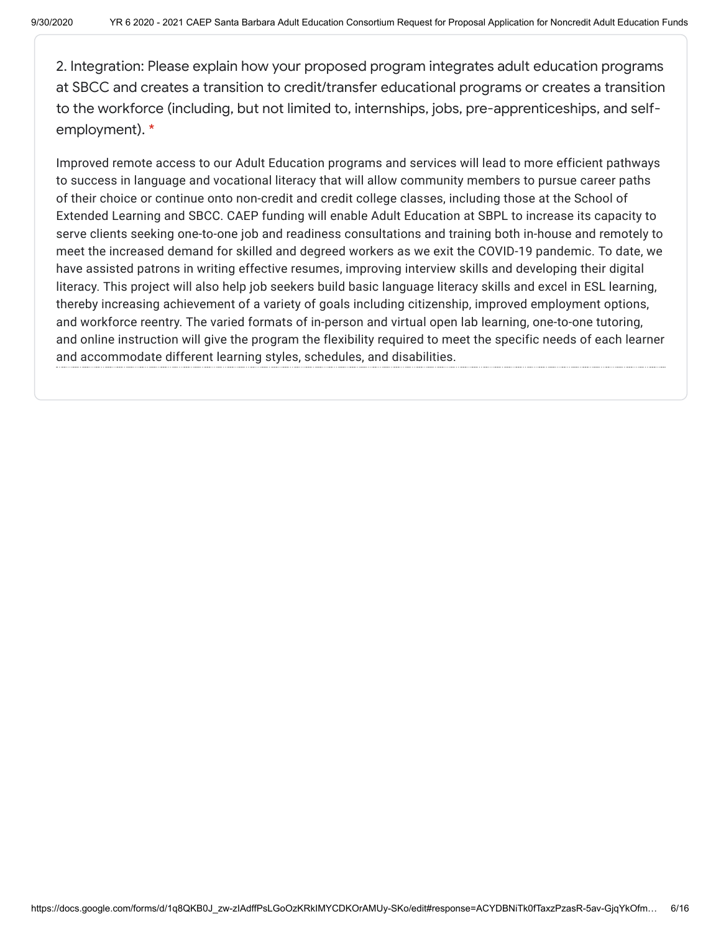2. Integration: Please explain how your proposed program integrates adult education programs at SBCC and creates a transition to credit/transfer educational programs or creates a transition to the workforce (including, but not limited to, internships, jobs, pre-apprenticeships, and selfemployment). \*

Improved remote access to our Adult Education programs and services will lead to more efficient pathways to success in language and vocational literacy that will allow community members to pursue career paths of their choice or continue onto non-credit and credit college classes, including those at the School of Extended Learning and SBCC. CAEP funding will enable Adult Education at SBPL to increase its capacity to serve clients seeking one-to-one job and readiness consultations and training both in-house and remotely to meet the increased demand for skilled and degreed workers as we exit the COVID-19 pandemic. To date, we have assisted patrons in writing effective resumes, improving interview skills and developing their digital literacy. This project will also help job seekers build basic language literacy skills and excel in ESL learning, thereby increasing achievement of a variety of goals including citizenship, improved employment options, and workforce reentry. The varied formats of in-person and virtual open lab learning, one-to-one tutoring, and online instruction will give the program the flexibility required to meet the specific needs of each learner and accommodate different learning styles, schedules, and disabilities.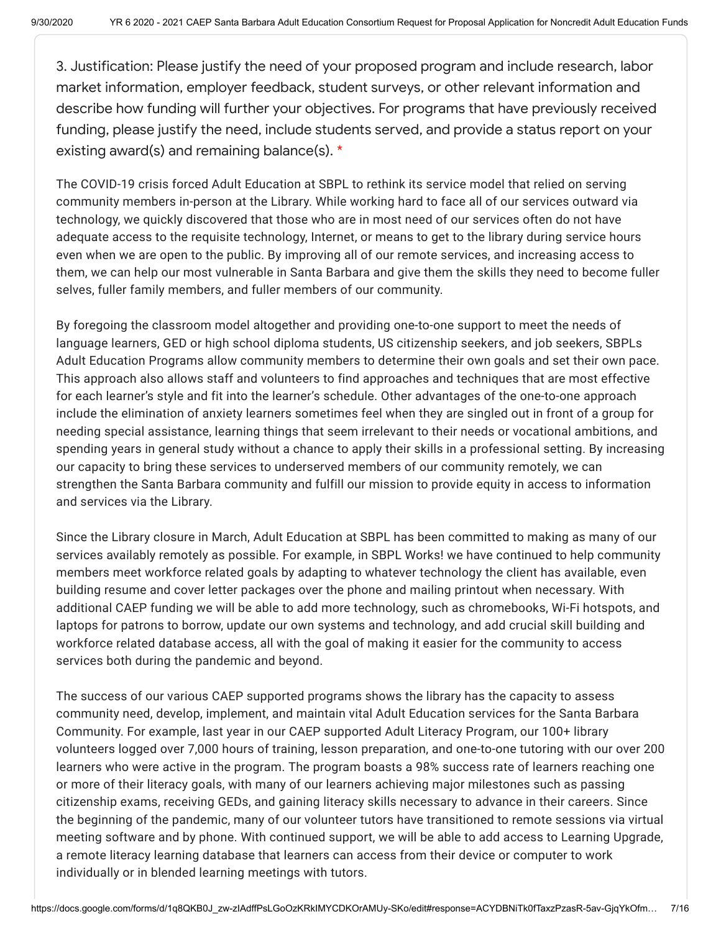3. Justification: Please justify the need of your proposed program and include research, labor market information, employer feedback, student surveys, or other relevant information and describe how funding will further your objectives. For programs that have previously received funding, please justify the need, include students served, and provide a status report on your existing award(s) and remaining balance(s). \*

The COVID-19 crisis forced Adult Education at SBPL to rethink its service model that relied on serving community members in-person at the Library. While working hard to face all of our services outward via technology, we quickly discovered that those who are in most need of our services often do not have adequate access to the requisite technology, Internet, or means to get to the library during service hours even when we are open to the public. By improving all of our remote services, and increasing access to them, we can help our most vulnerable in Santa Barbara and give them the skills they need to become fuller selves, fuller family members, and fuller members of our community.

By foregoing the classroom model altogether and providing one-to-one support to meet the needs of language learners, GED or high school diploma students, US citizenship seekers, and job seekers, SBPLs Adult Education Programs allow community members to determine their own goals and set their own pace. This approach also allows staff and volunteers to find approaches and techniques that are most effective for each learner's style and fit into the learner's schedule. Other advantages of the one-to-one approach include the elimination of anxiety learners sometimes feel when they are singled out in front of a group for needing special assistance, learning things that seem irrelevant to their needs or vocational ambitions, and spending years in general study without a chance to apply their skills in a professional setting. By increasing our capacity to bring these services to underserved members of our community remotely, we can strengthen the Santa Barbara community and fulfill our mission to provide equity in access to information and services via the Library.

Since the Library closure in March, Adult Education at SBPL has been committed to making as many of our services availably remotely as possible. For example, in SBPL Works! we have continued to help community members meet workforce related goals by adapting to whatever technology the client has available, even building resume and cover letter packages over the phone and mailing printout when necessary. With additional CAEP funding we will be able to add more technology, such as chromebooks, Wi-Fi hotspots, and laptops for patrons to borrow, update our own systems and technology, and add crucial skill building and workforce related database access, all with the goal of making it easier for the community to access services both during the pandemic and beyond.

The success of our various CAEP supported programs shows the library has the capacity to assess community need, develop, implement, and maintain vital Adult Education services for the Santa Barbara Community. For example, last year in our CAEP supported Adult Literacy Program, our 100+ library volunteers logged over 7,000 hours of training, lesson preparation, and one-to-one tutoring with our over 200 learners who were active in the program. The program boasts a 98% success rate of learners reaching one or more of their literacy goals, with many of our learners achieving major milestones such as passing citizenship exams, receiving GEDs, and gaining literacy skills necessary to advance in their careers. Since the beginning of the pandemic, many of our volunteer tutors have transitioned to remote sessions via virtual meeting software and by phone. With continued support, we will be able to add access to Learning Upgrade, a remote literacy learning database that learners can access from their device or computer to work individually or in blended learning meetings with tutors.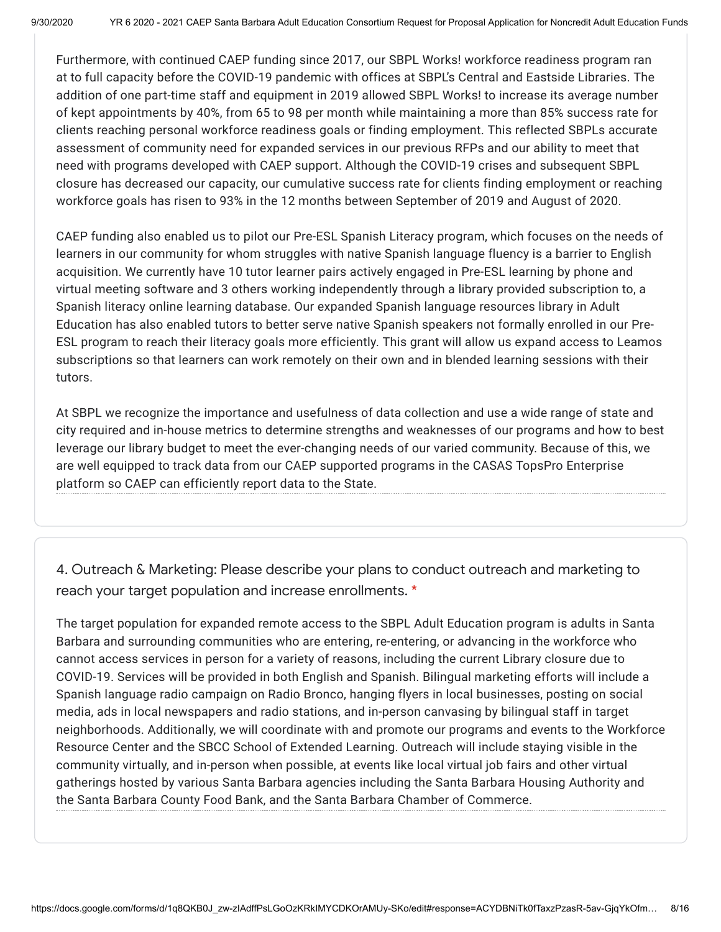Furthermore, with continued CAEP funding since 2017, our SBPL Works! workforce readiness program ran at to full capacity before the COVID-19 pandemic with offices at SBPL's Central and Eastside Libraries. The addition of one part-time staff and equipment in 2019 allowed SBPL Works! to increase its average number of kept appointments by 40%, from 65 to 98 per month while maintaining a more than 85% success rate for clients reaching personal workforce readiness goals or finding employment. This reflected SBPLs accurate assessment of community need for expanded services in our previous RFPs and our ability to meet that need with programs developed with CAEP support. Although the COVID-19 crises and subsequent SBPL closure has decreased our capacity, our cumulative success rate for clients finding employment or reaching workforce goals has risen to 93% in the 12 months between September of 2019 and August of 2020.

CAEP funding also enabled us to pilot our Pre-ESL Spanish Literacy program, which focuses on the needs of learners in our community for whom struggles with native Spanish language fluency is a barrier to English acquisition. We currently have 10 tutor learner pairs actively engaged in Pre-ESL learning by phone and virtual meeting software and 3 others working independently through a library provided subscription to, a Spanish literacy online learning database. Our expanded Spanish language resources library in Adult Education has also enabled tutors to better serve native Spanish speakers not formally enrolled in our Pre-ESL program to reach their literacy goals more efficiently. This grant will allow us expand access to Leamos subscriptions so that learners can work remotely on their own and in blended learning sessions with their tutors.

At SBPL we recognize the importance and usefulness of data collection and use a wide range of state and city required and in-house metrics to determine strengths and weaknesses of our programs and how to best leverage our library budget to meet the ever-changing needs of our varied community. Because of this, we are well equipped to track data from our CAEP supported programs in the CASAS TopsPro Enterprise platform so CAEP can efficiently report data to the State.

4. Outreach & Marketing: Please describe your plans to conduct outreach and marketing to reach your target population and increase enrollments. \*

The target population for expanded remote access to the SBPL Adult Education program is adults in Santa Barbara and surrounding communities who are entering, re-entering, or advancing in the workforce who cannot access services in person for a variety of reasons, including the current Library closure due to COVID-19. Services will be provided in both English and Spanish. Bilingual marketing efforts will include a Spanish language radio campaign on Radio Bronco, hanging flyers in local businesses, posting on social media, ads in local newspapers and radio stations, and in-person canvasing by bilingual staff in target neighborhoods. Additionally, we will coordinate with and promote our programs and events to the Workforce Resource Center and the SBCC School of Extended Learning. Outreach will include staying visible in the community virtually, and in-person when possible, at events like local virtual job fairs and other virtual gatherings hosted by various Santa Barbara agencies including the Santa Barbara Housing Authority and the Santa Barbara County Food Bank, and the Santa Barbara Chamber of Commerce.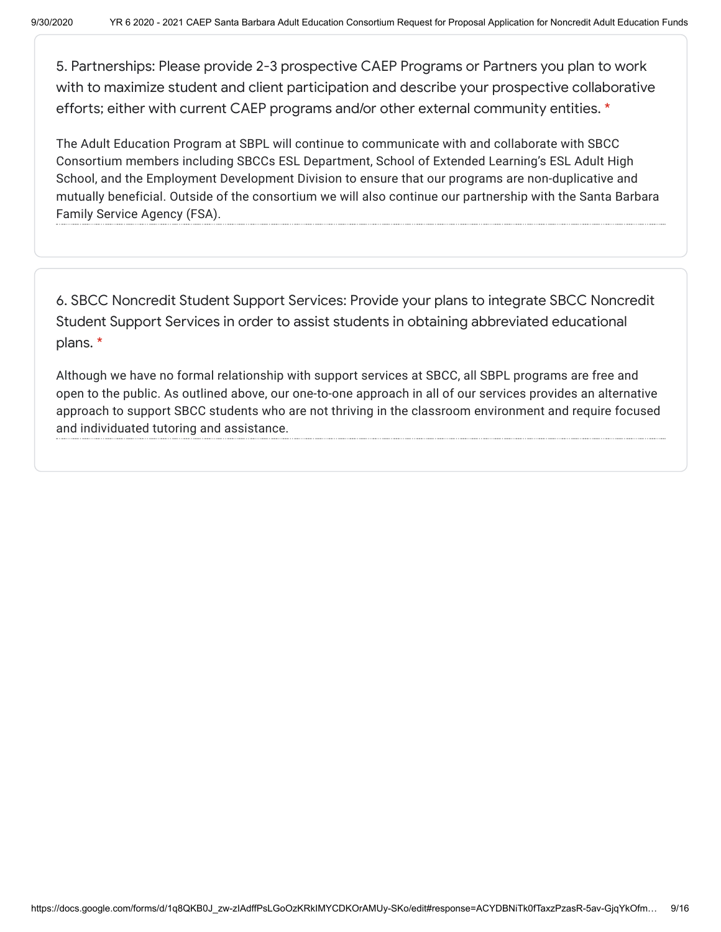5. Partnerships: Please provide 2-3 prospective CAEP Programs or Partners you plan to work with to maximize student and client participation and describe your prospective collaborative efforts; either with current CAEP programs and/or other external community entities. \*

The Adult Education Program at SBPL will continue to communicate with and collaborate with SBCC Consortium members including SBCCs ESL Department, School of Extended Learning's ESL Adult High School, and the Employment Development Division to ensure that our programs are non-duplicative and mutually beneficial. Outside of the consortium we will also continue our partnership with the Santa Barbara Family Service Agency (FSA).

6. SBCC Noncredit Student Support Services: Provide your plans to integrate SBCC Noncredit Student Support Services in order to assist students in obtaining abbreviated educational plans. \*

Although we have no formal relationship with support services at SBCC, all SBPL programs are free and open to the public. As outlined above, our one-to-one approach in all of our services provides an alternative approach to support SBCC students who are not thriving in the classroom environment and require focused and individuated tutoring and assistance.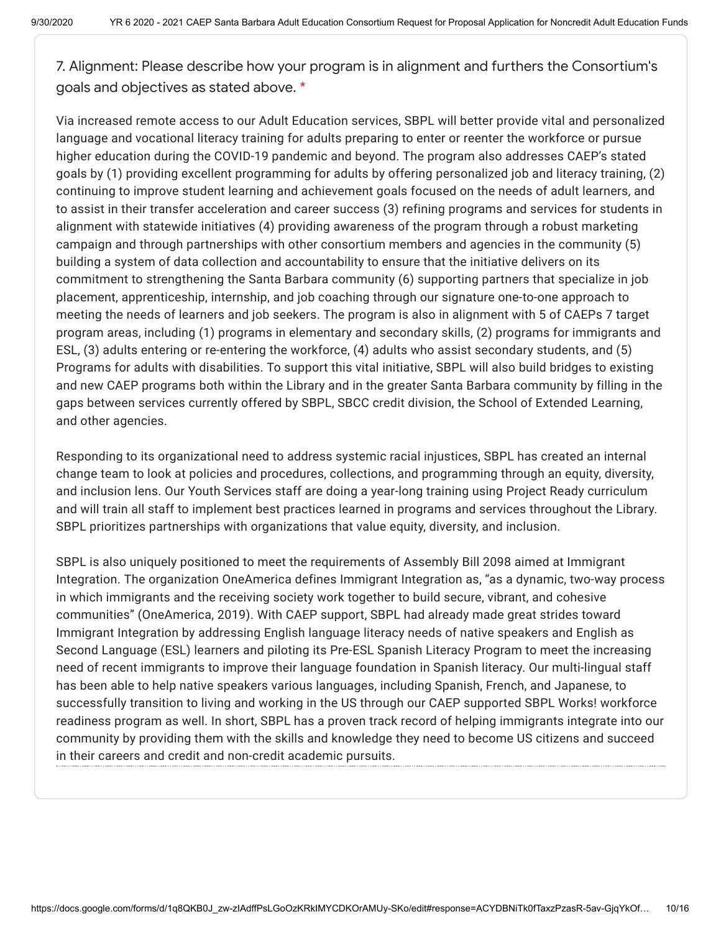7. Alignment: Please describe how your program is in alignment and furthers the Consortium's goals and objectives as stated above. \*

Via increased remote access to our Adult Education services, SBPL will better provide vital and personalized language and vocational literacy training for adults preparing to enter or reenter the workforce or pursue higher education during the COVID-19 pandemic and beyond. The program also addresses CAEP's stated goals by (1) providing excellent programming for adults by offering personalized job and literacy training, (2) continuing to improve student learning and achievement goals focused on the needs of adult learners, and to assist in their transfer acceleration and career success (3) refining programs and services for students in alignment with statewide initiatives (4) providing awareness of the program through a robust marketing campaign and through partnerships with other consortium members and agencies in the community (5) building a system of data collection and accountability to ensure that the initiative delivers on its commitment to strengthening the Santa Barbara community (6) supporting partners that specialize in job placement, apprenticeship, internship, and job coaching through our signature one-to-one approach to meeting the needs of learners and job seekers. The program is also in alignment with 5 of CAEPs 7 target program areas, including (1) programs in elementary and secondary skills, (2) programs for immigrants and ESL, (3) adults entering or re-entering the workforce, (4) adults who assist secondary students, and (5) Programs for adults with disabilities. To support this vital initiative, SBPL will also build bridges to existing and new CAEP programs both within the Library and in the greater Santa Barbara community by filling in the gaps between services currently offered by SBPL, SBCC credit division, the School of Extended Learning, and other agencies.

Responding to its organizational need to address systemic racial injustices, SBPL has created an internal change team to look at policies and procedures, collections, and programming through an equity, diversity, and inclusion lens. Our Youth Services staff are doing a year-long training using Project Ready curriculum and will train all staff to implement best practices learned in programs and services throughout the Library. SBPL prioritizes partnerships with organizations that value equity, diversity, and inclusion.

SBPL is also uniquely positioned to meet the requirements of Assembly Bill 2098 aimed at Immigrant Integration. The organization OneAmerica defines Immigrant Integration as, "as a dynamic, two-way process in which immigrants and the receiving society work together to build secure, vibrant, and cohesive communities" (OneAmerica, 2019). With CAEP support, SBPL had already made great strides toward Immigrant Integration by addressing English language literacy needs of native speakers and English as Second Language (ESL) learners and piloting its Pre-ESL Spanish Literacy Program to meet the increasing need of recent immigrants to improve their language foundation in Spanish literacy. Our multi-lingual staff has been able to help native speakers various languages, including Spanish, French, and Japanese, to successfully transition to living and working in the US through our CAEP supported SBPL Works! workforce readiness program as well. In short, SBPL has a proven track record of helping immigrants integrate into our community by providing them with the skills and knowledge they need to become US citizens and succeed in their careers and credit and non-credit academic pursuits.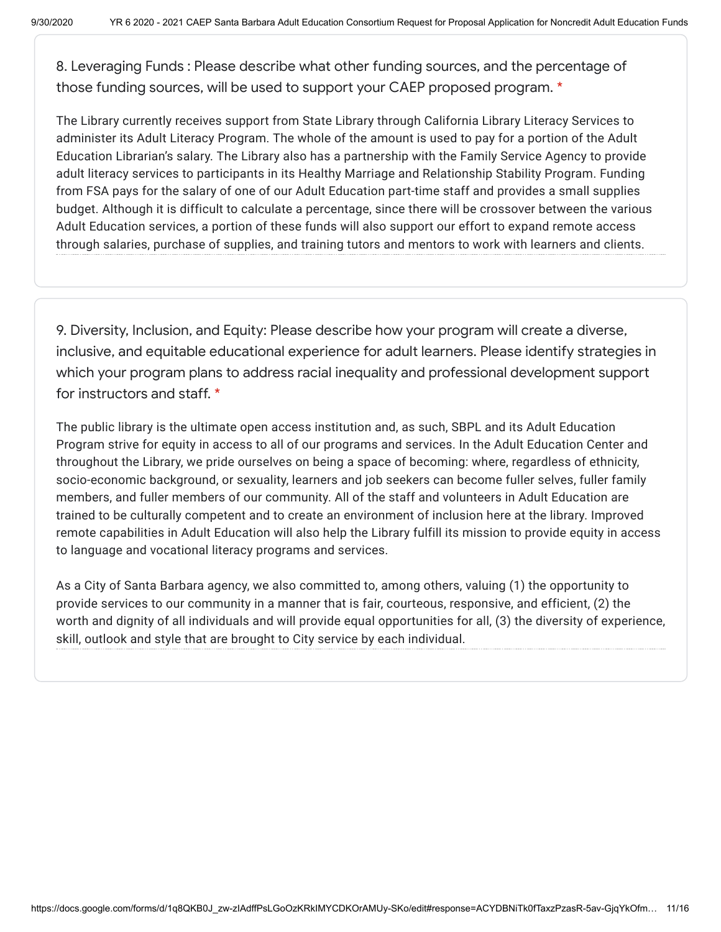8. Leveraging Funds : Please describe what other funding sources, and the percentage of those funding sources, will be used to support your CAEP proposed program. \*

The Library currently receives support from State Library through California Library Literacy Services to administer its Adult Literacy Program. The whole of the amount is used to pay for a portion of the Adult Education Librarian's salary. The Library also has a partnership with the Family Service Agency to provide adult literacy services to participants in its Healthy Marriage and Relationship Stability Program. Funding from FSA pays for the salary of one of our Adult Education part-time staff and provides a small supplies budget. Although it is difficult to calculate a percentage, since there will be crossover between the various Adult Education services, a portion of these funds will also support our effort to expand remote access through salaries, purchase of supplies, and training tutors and mentors to work with learners and clients.

9. Diversity, Inclusion, and Equity: Please describe how your program will create a diverse, inclusive, and equitable educational experience for adult learners. Please identify strategies in which your program plans to address racial inequality and professional development support for instructors and staff. \*

The public library is the ultimate open access institution and, as such, SBPL and its Adult Education Program strive for equity in access to all of our programs and services. In the Adult Education Center and throughout the Library, we pride ourselves on being a space of becoming: where, regardless of ethnicity, socio-economic background, or sexuality, learners and job seekers can become fuller selves, fuller family members, and fuller members of our community. All of the staff and volunteers in Adult Education are trained to be culturally competent and to create an environment of inclusion here at the library. Improved remote capabilities in Adult Education will also help the Library fulfill its mission to provide equity in access to language and vocational literacy programs and services.

As a City of Santa Barbara agency, we also committed to, among others, valuing (1) the opportunity to provide services to our community in a manner that is fair, courteous, responsive, and efficient, (2) the worth and dignity of all individuals and will provide equal opportunities for all, (3) the diversity of experience, skill, outlook and style that are brought to City service by each individual.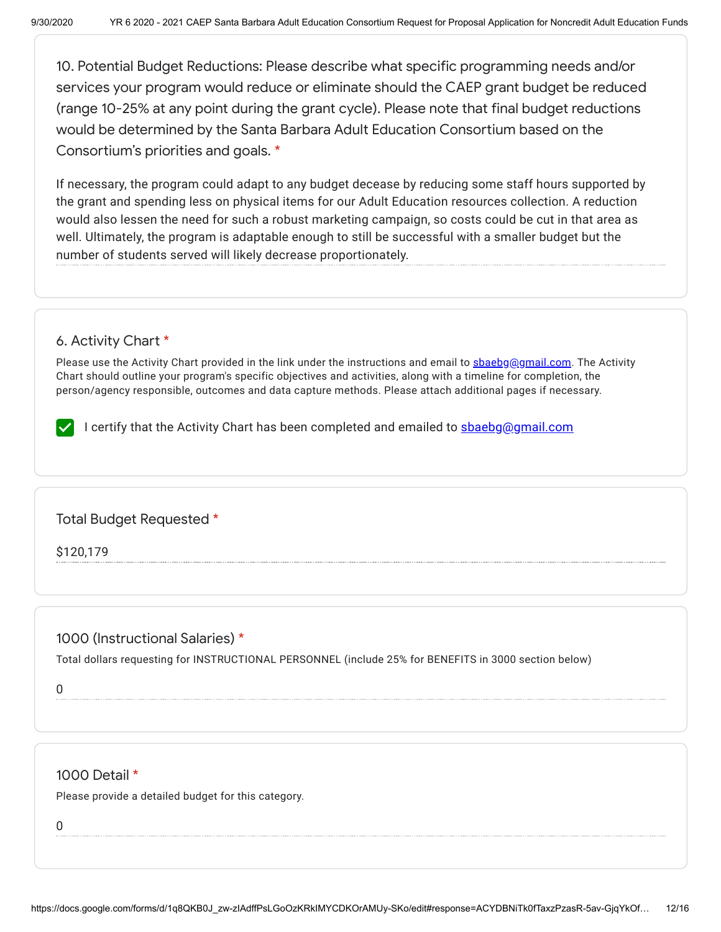10. Potential Budget Reductions: Please describe what specific programming needs and/or services your program would reduce or eliminate should the CAEP grant budget be reduced (range 10-25% at any point during the grant cycle). Please note that final budget reductions would be determined by the Santa Barbara Adult Education Consortium based on the Consortium's priorities and goals. \*

If necessary, the program could adapt to any budget decease by reducing some staff hours supported by the grant and spending less on physical items for our Adult Education resources collection. A reduction would also lessen the need for such a robust marketing campaign, so costs could be cut in that area as well. Ultimately, the program is adaptable enough to still be successful with a smaller budget but the number of students served will likely decrease proportionately.

#### 6. Activity Chart \*

Please use the Activity Chart provided in the link under the instructions and email to [sbaebg@gmail.com.](mailto:sbaebg@gmail.com) The Activity Chart should outline your program's specific objectives and activities, along with a timeline for completion, the person/agency responsible, outcomes and data capture methods. Please attach additional pages if necessary.

I certify that the Activity Chart has been completed and emailed to **[sbaebg@gmail.com](mailto:sbaebg@gmail.com)** 

Total Budget Requested \*

\$120,179

## 1000 (Instructional Salaries) \*

Total dollars requesting for INSTRUCTIONAL PERSONNEL (include 25% for BENEFITS in 3000 section below)

0

#### 1000 Detail \*

Please provide a detailed budget for this category.

0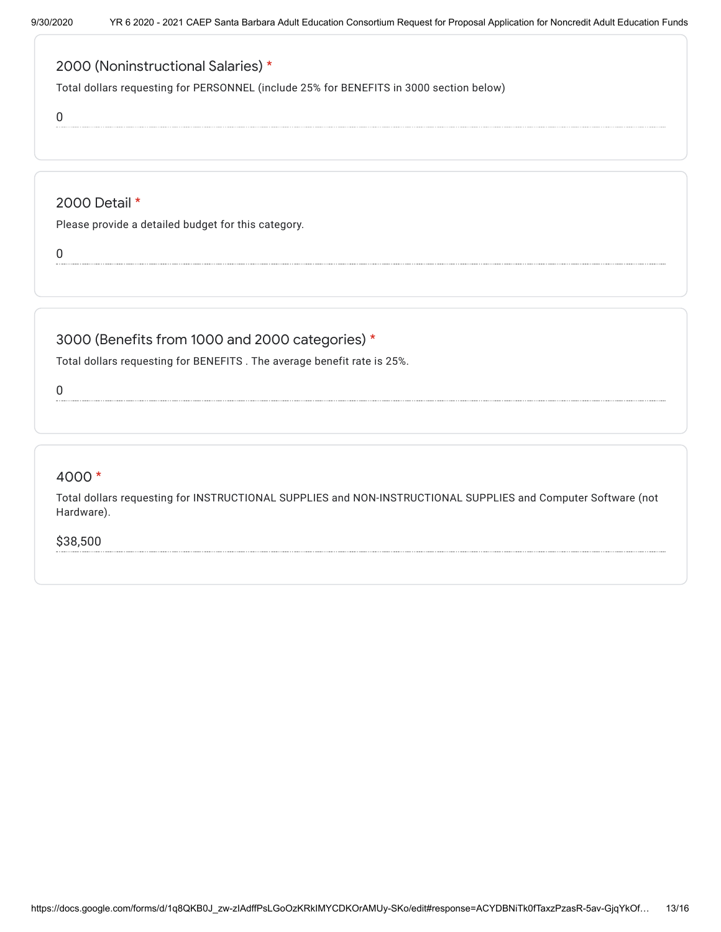# 2000 (Noninstructional Salaries) \*

Total dollars requesting for PERSONNEL (include 25% for BENEFITS in 3000 section below)

0

# 2000 Detail \*

Please provide a detailed budget for this category.

0

# 3000 (Benefits from 1000 and 2000 categories) \*

Total dollars requesting for BENEFITS . The average benefit rate is 25%.

0

## 4000 \*

Total dollars requesting for INSTRUCTIONAL SUPPLIES and NON-INSTRUCTIONAL SUPPLIES and Computer Software (not Hardware).

\$38,500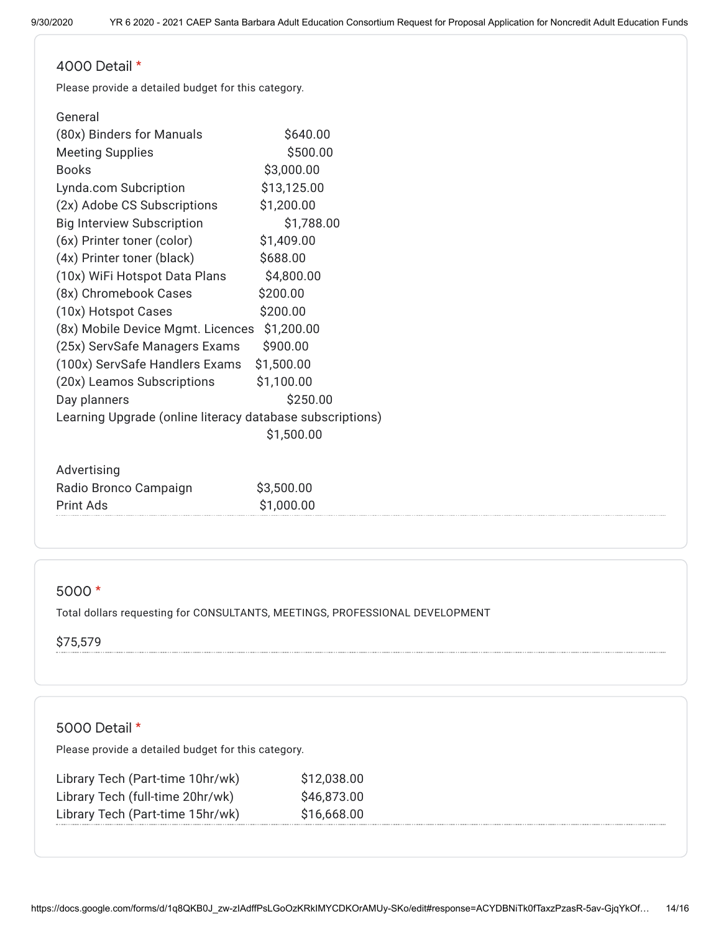#### 4000 Detail \*

Please provide a detailed budget for this category.

| General                                                   |             |
|-----------------------------------------------------------|-------------|
| (80x) Binders for Manuals                                 | \$640.00    |
| <b>Meeting Supplies</b>                                   | \$500.00    |
| <b>Books</b>                                              | \$3,000.00  |
| Lynda.com Subcription                                     | \$13,125.00 |
| (2x) Adobe CS Subscriptions                               | \$1,200.00  |
| <b>Big Interview Subscription</b>                         | \$1,788.00  |
| (6x) Printer toner (color)                                | \$1,409.00  |
| (4x) Printer toner (black)                                | \$688.00    |
| (10x) WiFi Hotspot Data Plans                             | \$4,800.00  |
| (8x) Chromebook Cases                                     | \$200.00    |
| (10x) Hotspot Cases                                       | \$200.00    |
| (8x) Mobile Device Mgmt. Licences                         | \$1,200.00  |
| (25x) ServSafe Managers Exams                             | \$900.00    |
| (100x) ServSafe Handlers Exams                            | \$1,500.00  |
| (20x) Leamos Subscriptions                                | \$1,100.00  |
| Day planners                                              | \$250.00    |
| Learning Upgrade (online literacy database subscriptions) |             |
|                                                           | \$1,500.00  |
|                                                           |             |
| Advertising                                               |             |
| Radio Bronco Campaign                                     | \$3,500.00  |
| Print Ads                                                 | \$1,000.00  |

#### 5000 \*

Total dollars requesting for CONSULTANTS, MEETINGS, PROFESSIONAL DEVELOPMENT

#### \$75,579

## 5000 Detail \*

Please provide a detailed budget for this category.

| Library Tech (Part-time 10hr/wk) | \$12,038.00 |
|----------------------------------|-------------|
| Library Tech (full-time 20hr/wk) | \$46,873.00 |
| Library Tech (Part-time 15hr/wk) | \$16,668.00 |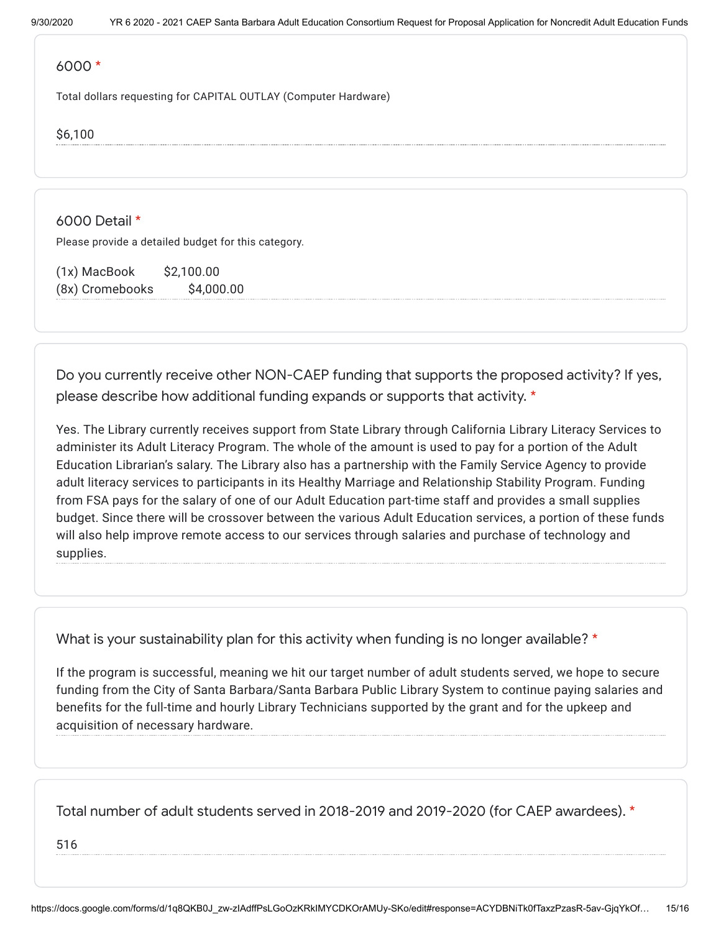#### 6000 \*

Total dollars requesting for CAPITAL OUTLAY (Computer Hardware)

\$6,100

6000 Detail \*

Please provide a detailed budget for this category.

(1x) MacBook \$2,100.00 (8x) Cromebooks \$4,000.00

Do you currently receive other NON-CAEP funding that supports the proposed activity? If yes, please describe how additional funding expands or supports that activity. \*

Yes. The Library currently receives support from State Library through California Library Literacy Services to administer its Adult Literacy Program. The whole of the amount is used to pay for a portion of the Adult Education Librarian's salary. The Library also has a partnership with the Family Service Agency to provide adult literacy services to participants in its Healthy Marriage and Relationship Stability Program. Funding from FSA pays for the salary of one of our Adult Education part-time staff and provides a small supplies budget. Since there will be crossover between the various Adult Education services, a portion of these funds will also help improve remote access to our services through salaries and purchase of technology and supplies.

What is your sustainability plan for this activity when funding is no longer available? \*

If the program is successful, meaning we hit our target number of adult students served, we hope to secure funding from the City of Santa Barbara/Santa Barbara Public Library System to continue paying salaries and benefits for the full-time and hourly Library Technicians supported by the grant and for the upkeep and acquisition of necessary hardware.

Total number of adult students served in 2018-2019 and 2019-2020 (for CAEP awardees). \*

516